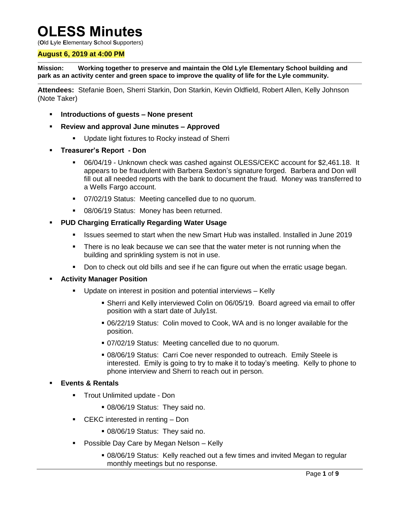# **OLESS Minutes**

(**O**ld **L**yle **E**lementary **S**chool **S**upporters)

## **August 6, 2019 at 4:00 PM**

**Mission: Working together to preserve and maintain the Old Lyle Elementary School building and park as an activity center and green space to improve the quality of life for the Lyle community.**

**Attendees:** Stefanie Boen, Sherri Starkin, Don Starkin, Kevin Oldfield, Robert Allen, Kelly Johnson (Note Taker)

- **Introductions of guests – None present**
- **Review and approval June minutes – Approved**
	- Update light fixtures to Rocky instead of Sherri
- **Treasurer's Report - Don**
	- 06/04/19 Unknown check was cashed against OLESS/CEKC account for \$2,461.18. It appears to be fraudulent with Barbera Sexton's signature forged. Barbera and Don will fill out all needed reports with the bank to document the fraud. Money was transferred to a Wells Fargo account.
	- 07/02/19 Status: Meeting cancelled due to no quorum.
	- 08/06/19 Status: Money has been returned.
- **PUD Charging Erratically Regarding Water Usage** 
	- **ISSUES Seemed to start when the new Smart Hub was installed. Installed in June 2019**
	- There is no leak because we can see that the water meter is not running when the building and sprinkling system is not in use.
	- Don to check out old bills and see if he can figure out when the erratic usage began.

#### **Activity Manager Position**

- **Update on interest in position and potential interviews Kelly** 
	- Sherri and Kelly interviewed Colin on 06/05/19. Board agreed via email to offer position with a start date of July1st.
	- 06/22/19 Status: Colin moved to Cook, WA and is no longer available for the position.
	- 07/02/19 Status: Meeting cancelled due to no quorum.
	- 08/06/19 Status: Carri Coe never responded to outreach. Emily Steele is interested. Emily is going to try to make it to today's meeting. Kelly to phone to phone interview and Sherri to reach out in person.

#### **Events & Rentals**

- **Trout Unlimited update Don** 
	- 08/06/19 Status: They said no.
- CEKC interested in renting Don
	- 08/06/19 Status: They said no.
- **Possible Day Care by Megan Nelson Kelly** 
	- 08/06/19 Status: Kelly reached out a few times and invited Megan to regular monthly meetings but no response.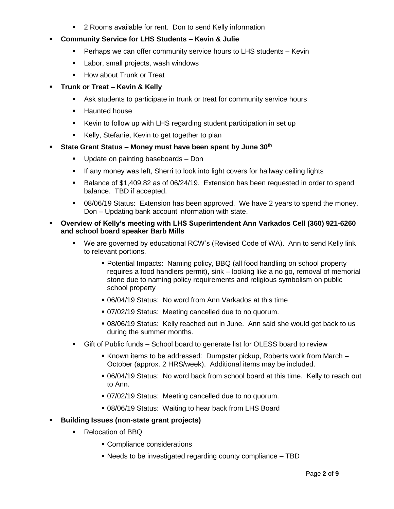- 2 Rooms available for rent. Don to send Kelly information
- **Community Service for LHS Students – Kevin & Julie**
	- Perhaps we can offer community service hours to LHS students Kevin
	- Labor, small projects, wash windows
	- **How about Trunk or Treat**

## **Trunk or Treat – Kevin & Kelly**

- Ask students to participate in trunk or treat for community service hours
- **-** Haunted house
- Kevin to follow up with LHS regarding student participation in set up
- Kelly, Stefanie, Kevin to get together to plan

## **State Grant Status – Money must have been spent by June 30th**

- Update on painting baseboards Don
- If any money was left, Sherri to look into light covers for hallway ceiling lights
- **Balance of \$1,409.82 as of 06/24/19. Extension has been requested in order to spend** balance. TBD if accepted.
- 08/06/19 Status: Extension has been approved. We have 2 years to spend the money. Don – Updating bank account information with state.

## **Overview of Kelly's meeting with LHS Superintendent Ann Varkados Cell (360) 921-6260 and school board speaker Barb Mills**

- We are governed by educational RCW's (Revised Code of WA). Ann to send Kelly link to relevant portions.
	- Potential Impacts: Naming policy, BBQ (all food handling on school property requires a food handlers permit), sink – looking like a no go, removal of memorial stone due to naming policy requirements and religious symbolism on public school property
	- 06/04/19 Status: No word from Ann Varkados at this time
	- 07/02/19 Status: Meeting cancelled due to no quorum.
	- 08/06/19 Status: Kelly reached out in June. Ann said she would get back to us during the summer months.
- Gift of Public funds School board to generate list for OLESS board to review
	- Known items to be addressed: Dumpster pickup, Roberts work from March October (approx. 2 HRS/week). Additional items may be included.
	- 06/04/19 Status: No word back from school board at this time. Kelly to reach out to Ann.
	- 07/02/19 Status: Meeting cancelled due to no quorum.
	- 08/06/19 Status: Waiting to hear back from LHS Board

## **Building Issues (non-state grant projects)**

- Relocation of BBQ
	- Compliance considerations
	- Needs to be investigated regarding county compliance TBD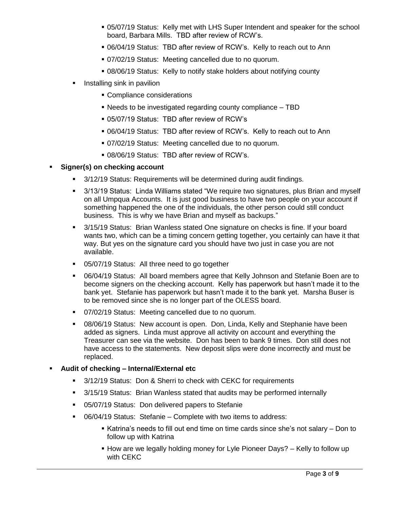- 05/07/19 Status: Kelly met with LHS Super Intendent and speaker for the school board, Barbara Mills. TBD after review of RCW's.
- 06/04/19 Status: TBD after review of RCW's. Kelly to reach out to Ann
- 07/02/19 Status: Meeting cancelled due to no quorum.
- 08/06/19 Status: Kelly to notify stake holders about notifying county
- Installing sink in pavilion
	- **Compliance considerations**
	- Needs to be investigated regarding county compliance TBD
	- 05/07/19 Status: TBD after review of RCW's
	- 06/04/19 Status: TBD after review of RCW's. Kelly to reach out to Ann
	- 07/02/19 Status: Meeting cancelled due to no quorum.
	- 08/06/19 Status: TBD after review of RCW's.

## **Signer(s) on checking account**

- 3/12/19 Status: Requirements will be determined during audit findings.
- 3/13/19 Status: Linda Williams stated "We require two signatures, plus Brian and myself on all Umpqua Accounts. It is just good business to have two people on your account if something happened the one of the individuals, the other person could still conduct business. This is why we have Brian and myself as backups."
- 3/15/19 Status: Brian Wanless stated One signature on checks is fine. If your board wants two, which can be a timing concern getting together, you certainly can have it that way. But yes on the signature card you should have two just in case you are not available.
- 05/07/19 Status: All three need to go together
- 06/04/19 Status: All board members agree that Kelly Johnson and Stefanie Boen are to become signers on the checking account. Kelly has paperwork but hasn't made it to the bank yet. Stefanie has paperwork but hasn't made it to the bank yet. Marsha Buser is to be removed since she is no longer part of the OLESS board.
- 07/02/19 Status: Meeting cancelled due to no quorum.
- 08/06/19 Status: New account is open. Don, Linda, Kelly and Stephanie have been added as signers. Linda must approve all activity on account and everything the Treasurer can see via the website. Don has been to bank 9 times. Don still does not have access to the statements. New deposit slips were done incorrectly and must be replaced.

## **Audit of checking – Internal/External etc**

- 3/12/19 Status: Don & Sherri to check with CEKC for requirements
- 3/15/19 Status: Brian Wanless stated that audits may be performed internally
- 05/07/19 Status: Don delivered papers to Stefanie
- 06/04/19 Status: Stefanie Complete with two items to address:
	- Katrina's needs to fill out end time on time cards since she's not salary Don to follow up with Katrina
	- How are we legally holding money for Lyle Pioneer Days? Kelly to follow up with CEKC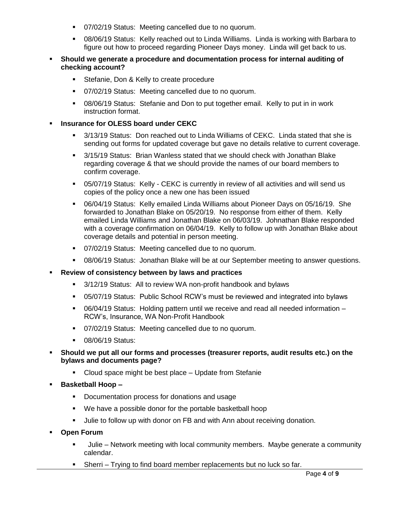- 07/02/19 Status: Meeting cancelled due to no quorum.
- 08/06/19 Status: Kelly reached out to Linda Williams. Linda is working with Barbara to figure out how to proceed regarding Pioneer Days money. Linda will get back to us.
- **Should we generate a procedure and documentation process for internal auditing of checking account?**
	- **Stefanie, Don & Kelly to create procedure**
	- 07/02/19 Status: Meeting cancelled due to no quorum.
	- 08/06/19 Status: Stefanie and Don to put together email. Kelly to put in in work instruction format.

## **Insurance for OLESS board under CEKC**

- 3/13/19 Status: Don reached out to Linda Williams of CEKC. Linda stated that she is sending out forms for updated coverage but gave no details relative to current coverage.
- 3/15/19 Status: Brian Wanless stated that we should check with Jonathan Blake regarding coverage & that we should provide the names of our board members to confirm coverage.
- 05/07/19 Status: Kelly CEKC is currently in review of all activities and will send us copies of the policy once a new one has been issued
- 06/04/19 Status: Kelly emailed Linda Williams about Pioneer Days on 05/16/19. She forwarded to Jonathan Blake on 05/20/19. No response from either of them. Kelly emailed Linda Williams and Jonathan Blake on 06/03/19. Johnathan Blake responded with a coverage confirmation on 06/04/19. Kelly to follow up with Jonathan Blake about coverage details and potential in person meeting.
- 07/02/19 Status: Meeting cancelled due to no quorum.
- 08/06/19 Status: Jonathan Blake will be at our September meeting to answer questions.

## **Review of consistency between by laws and practices**

- 3/12/19 Status: All to review WA non-profit handbook and bylaws
- 05/07/19 Status: Public School RCW's must be reviewed and integrated into bylaws
- 06/04/19 Status: Holding pattern until we receive and read all needed information RCW's, Insurance, WA Non-Profit Handbook
- 07/02/19 Status: Meeting cancelled due to no quorum.
- **08/06/19 Status:**
- **Should we put all our forms and processes (treasurer reports, audit results etc.) on the bylaws and documents page?**
	- Cloud space might be best place Update from Stefanie
- **Basketball Hoop –**
	- Documentation process for donations and usage
	- We have a possible donor for the portable basketball hoop
	- **Julie to follow up with donor on FB and with Ann about receiving donation.**
- **Open Forum** 
	- Julie Network meeting with local community members. Maybe generate a community calendar.
	- Sherri Trying to find board member replacements but no luck so far.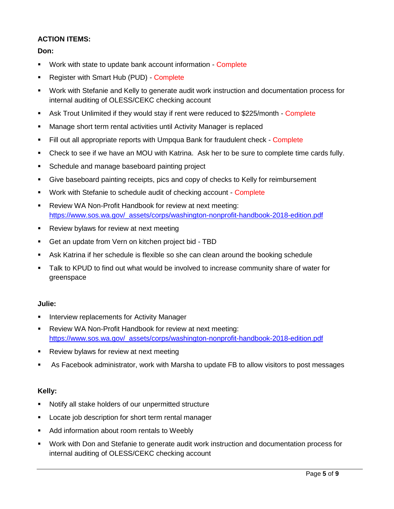## **ACTION ITEMS:**

**Don:**

- **Work with state to update bank account information Complete**
- Register with Smart Hub (PUD) Complete
- Work with Stefanie and Kelly to generate audit work instruction and documentation process for internal auditing of OLESS/CEKC checking account
- Ask Trout Unlimited if they would stay if rent were reduced to \$225/month Complete
- Manage short term rental activities until Activity Manager is replaced
- Fill out all appropriate reports with Umpqua Bank for fraudulent check Complete
- Check to see if we have an MOU with Katrina. Ask her to be sure to complete time cards fully.
- **Schedule and manage baseboard painting project**
- Give baseboard painting receipts, pics and copy of checks to Kelly for reimbursement
- **Work with Stefanie to schedule audit of checking account Complete**
- Review WA Non-Profit Handbook for review at next meeting: [https://www.sos.wa.gov/\\_assets/corps/washington-nonprofit-handbook-2018-edition.pdf](https://www.sos.wa.gov/_assets/corps/washington-nonprofit-handbook-2018-edition.pdf)
- **Review bylaws for review at next meeting**
- Get an update from Vern on kitchen project bid TBD
- Ask Katrina if her schedule is flexible so she can clean around the booking schedule
- Talk to KPUD to find out what would be involved to increase community share of water for greenspace

## **Julie:**

- **Interview replacements for Activity Manager**
- **Review WA Non-Profit Handbook for review at next meeting:** [https://www.sos.wa.gov/\\_assets/corps/washington-nonprofit-handbook-2018-edition.pdf](https://www.sos.wa.gov/_assets/corps/washington-nonprofit-handbook-2018-edition.pdf)
- **Review bylaws for review at next meeting**
- As Facebook administrator, work with Marsha to update FB to allow visitors to post messages

## **Kelly:**

- Notify all stake holders of our unpermitted structure
- **Locate job description for short term rental manager**
- Add information about room rentals to Weebly
- Work with Don and Stefanie to generate audit work instruction and documentation process for internal auditing of OLESS/CEKC checking account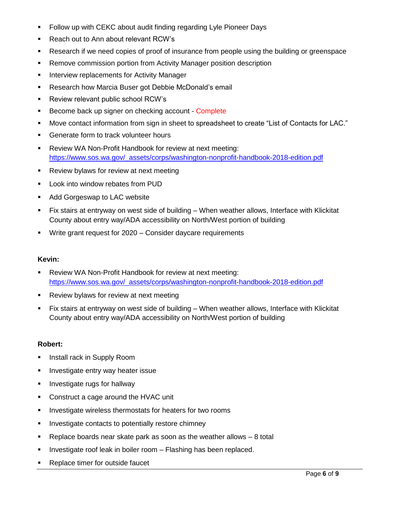- **Follow up with CEKC about audit finding regarding Lyle Pioneer Days**
- Reach out to Ann about relevant RCW's
- Research if we need copies of proof of insurance from people using the building or greenspace
- **Remove commission portion from Activity Manager position description**
- **Interview replacements for Activity Manager**
- **Research how Marcia Buser got Debbie McDonald's email**
- **Review relevant public school RCW's**
- Become back up signer on checking account Complete
- Move contact information from sign in sheet to spreadsheet to create "List of Contacts for LAC."
- **Generate form to track volunteer hours**
- Review WA Non-Profit Handbook for review at next meeting: [https://www.sos.wa.gov/\\_assets/corps/washington-nonprofit-handbook-2018-edition.pdf](https://www.sos.wa.gov/_assets/corps/washington-nonprofit-handbook-2018-edition.pdf)
- **Review bylaws for review at next meeting**
- **Look into window rebates from PUD**
- **Add Gorgeswap to LAC website**
- Fix stairs at entryway on west side of building When weather allows, Interface with Klickitat County about entry way/ADA accessibility on North/West portion of building
- **Write grant request for 2020 Consider daycare requirements**

## **Kevin:**

- Review WA Non-Profit Handbook for review at next meeting: [https://www.sos.wa.gov/\\_assets/corps/washington-nonprofit-handbook-2018-edition.pdf](https://www.sos.wa.gov/_assets/corps/washington-nonprofit-handbook-2018-edition.pdf)
- **Review bylaws for review at next meeting**
- Fix stairs at entryway on west side of building When weather allows, Interface with Klickitat County about entry way/ADA accessibility on North/West portion of building

## **Robert:**

- **Install rack in Supply Room**
- **Investigate entry way heater issue**
- **Investigate rugs for hallway**
- **Construct a cage around the HVAC unit**
- **Investigate wireless thermostats for heaters for two rooms**
- **Investigate contacts to potentially restore chimney**
- **Parage 2** Replace boards near skate park as soon as the weather allows  $-8$  total
- **Investigate roof leak in boiler room Flashing has been replaced.**
- Replace timer for outside faucet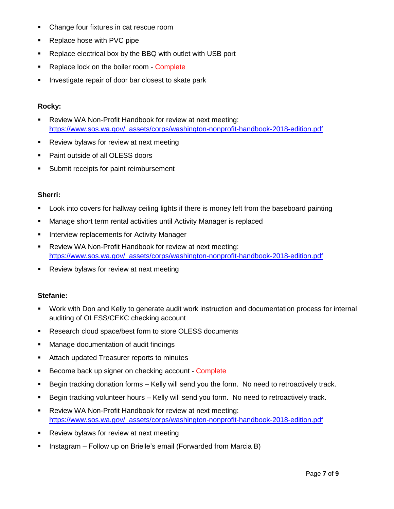- Change four fixtures in cat rescue room
- Replace hose with PVC pipe
- Replace electrical box by the BBQ with outlet with USB port
- Replace lock on the boiler room Complete
- **Investigate repair of door bar closest to skate park**

#### **Rocky:**

- Review WA Non-Profit Handbook for review at next meeting: [https://www.sos.wa.gov/\\_assets/corps/washington-nonprofit-handbook-2018-edition.pdf](https://www.sos.wa.gov/_assets/corps/washington-nonprofit-handbook-2018-edition.pdf)
- **Review bylaws for review at next meeting**
- Paint outside of all OLESS doors
- **Submit receipts for paint reimbursement**

## **Sherri:**

- **Look into covers for hallway ceiling lights if there is money left from the baseboard painting**
- Manage short term rental activities until Activity Manager is replaced
- **Interview replacements for Activity Manager**
- Review WA Non-Profit Handbook for review at next meeting: [https://www.sos.wa.gov/\\_assets/corps/washington-nonprofit-handbook-2018-edition.pdf](https://www.sos.wa.gov/_assets/corps/washington-nonprofit-handbook-2018-edition.pdf)
- **Review bylaws for review at next meeting**

## **Stefanie:**

- Work with Don and Kelly to generate audit work instruction and documentation process for internal auditing of OLESS/CEKC checking account
- **Research cloud space/best form to store OLESS documents**
- Manage documentation of audit findings
- **EXTER** Attach updated Treasurer reports to minutes
- Become back up signer on checking account Complete
- Begin tracking donation forms Kelly will send you the form. No need to retroactively track.
- Begin tracking volunteer hours Kelly will send you form. No need to retroactively track.
- Review WA Non-Profit Handbook for review at next meeting: [https://www.sos.wa.gov/\\_assets/corps/washington-nonprofit-handbook-2018-edition.pdf](https://www.sos.wa.gov/_assets/corps/washington-nonprofit-handbook-2018-edition.pdf)
- **Review bylaws for review at next meeting**
- Instagram Follow up on Brielle's email (Forwarded from Marcia B)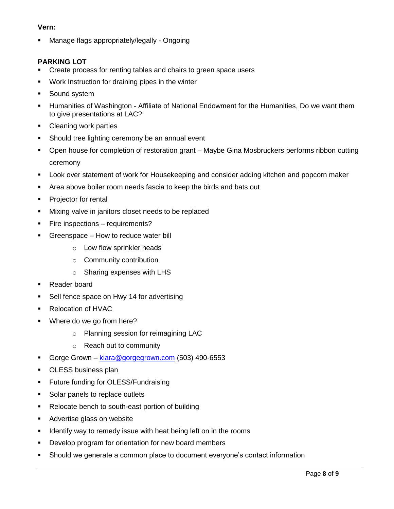## **Vern:**

**Manage flags appropriately/legally - Ongoing** 

## **PARKING LOT**

- Create process for renting tables and chairs to green space users
- Work Instruction for draining pipes in the winter
- **Sound system**
- Humanities of Washington Affiliate of National Endowment for the Humanities, Do we want them to give presentations at LAC?
- Cleaning work parties
- **Should tree lighting ceremony be an annual event**
- Open house for completion of restoration grant Maybe Gina Mosbruckers performs ribbon cutting ceremony
- Look over statement of work for Housekeeping and consider adding kitchen and popcorn maker
- Area above boiler room needs fascia to keep the birds and bats out
- **Projector for rental**
- **Mixing valve in janitors closet needs to be replaced**
- **Fire inspections requirements?**
- **Greenspace How to reduce water bill** 
	- o Low flow sprinkler heads
	- o Community contribution
	- o Sharing expenses with LHS
- **Reader board**
- **Sell fence space on Hwy 14 for advertising**
- Relocation of HVAC
- **Where do we go from here?** 
	- o Planning session for reimagining LAC
	- o Reach out to community
- Gorge Grown [kiara@gorgegrown.com](mailto:kiara@gorgegrown.com) (503) 490-6553
- **DESS business plan**
- **Future funding for OLESS/Fundraising**
- Solar panels to replace outlets
- Relocate bench to south-east portion of building
- **Advertise glass on website**
- **If I** Identify way to remedy issue with heat being left on in the rooms
- Develop program for orientation for new board members
- Should we generate a common place to document everyone's contact information